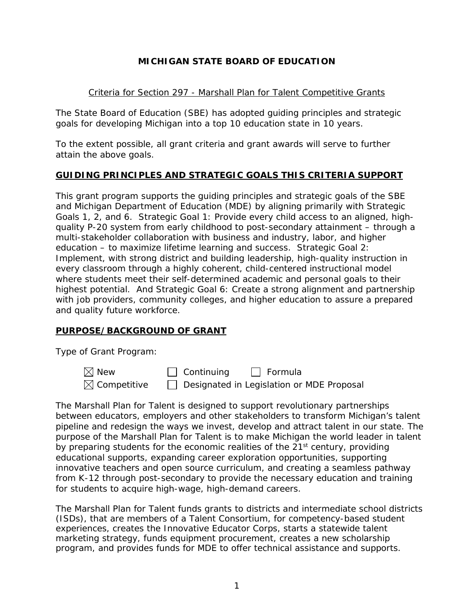# **MICHIGAN STATE BOARD OF EDUCATION**

## Criteria for Section 297 - Marshall Plan for Talent Competitive Grants

The State Board of Education (SBE) has adopted guiding principles and strategic goals for developing Michigan into a top 10 education state in 10 years.

To the extent possible, all grant criteria and grant awards will serve to further attain the above goals.

### **GUIDING PRINCIPLES AND STRATEGIC GOALS THIS CRITERIA SUPPORT**

This grant program supports the guiding principles and strategic goals of the SBE and Michigan Department of Education (MDE) by aligning primarily with Strategic Goals 1, 2, and 6. Strategic Goal 1: Provide every child access to an aligned, highquality P-20 system from early childhood to post-secondary attainment – through a multi-stakeholder collaboration with business and industry, labor, and higher education – to maximize lifetime learning and success. Strategic Goal 2: Implement, with strong district and building leadership, high-quality instruction in every classroom through a highly coherent, child-centered instructional model where students meet their self-determined academic and personal goals to their highest potential. And Strategic Goal 6: Create a strong alignment and partnership with job providers, community colleges, and higher education to assure a prepared and quality future workforce.

# **PURPOSE/BACKGROUND OF GRANT**

Type of Grant Program:

| $\boxtimes$ New         | $\Box$ Continuing<br>$\Box$ Formula       |
|-------------------------|-------------------------------------------|
| $\boxtimes$ Competitive | Designated in Legislation or MDE Proposal |

The Marshall Plan for Talent is designed to support revolutionary partnerships between educators, employers and other stakeholders to transform Michigan's talent pipeline and redesign the ways we invest, develop and attract talent in our state. The purpose of the Marshall Plan for Talent is to make Michigan the world leader in talent by preparing students for the economic realities of the 21<sup>st</sup> century, providing educational supports, expanding career exploration opportunities, supporting innovative teachers and open source curriculum, and creating a seamless pathway from K-12 through post-secondary to provide the necessary education and training for students to acquire high-wage, high-demand careers.

The Marshall Plan for Talent funds grants to districts and intermediate school districts (ISDs), that are members of a Talent Consortium, for competency-based student experiences, creates the Innovative Educator Corps, starts a statewide talent marketing strategy, funds equipment procurement, creates a new scholarship program, and provides funds for MDE to offer technical assistance and supports.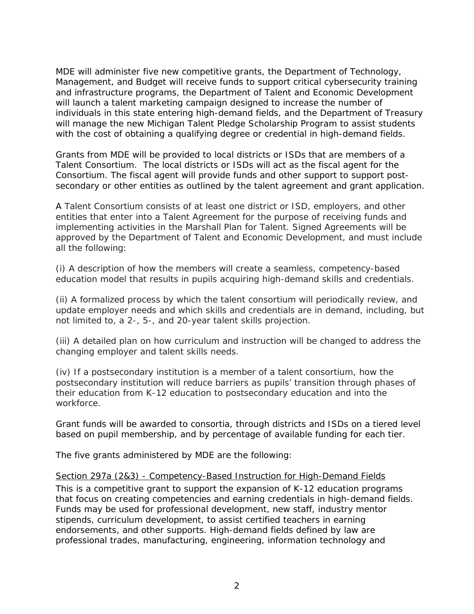MDE will administer five new competitive grants, the Department of Technology, Management, and Budget will receive funds to support critical cybersecurity training and infrastructure programs, the Department of Talent and Economic Development will launch a talent marketing campaign designed to increase the number of individuals in this state entering high-demand fields, and the Department of Treasury will manage the new Michigan Talent Pledge Scholarship Program to assist students with the cost of obtaining a qualifying degree or credential in high-demand fields.

Grants from MDE will be provided to local districts or ISDs that are members of a Talent Consortium. The local districts or ISDs will act as the fiscal agent for the Consortium. The fiscal agent will provide funds and other support to support postsecondary or other entities as outlined by the talent agreement and grant application.

A Talent Consortium consists of at least one district or ISD, employers, and other entities that enter into a Talent Agreement for the purpose of receiving funds and implementing activities in the Marshall Plan for Talent. Signed Agreements will be approved by the Department of Talent and Economic Development, and must include all the following:

(i) A description of how the members will create a seamless, competency-based education model that results in pupils acquiring high-demand skills and credentials.

(ii) A formalized process by which the talent consortium will periodically review, and update employer needs and which skills and credentials are in demand, including, but not limited to, a 2-, 5-, and 20-year talent skills projection.

(iii) A detailed plan on how curriculum and instruction will be changed to address the changing employer and talent skills needs.

(iv) If a postsecondary institution is a member of a talent consortium, how the postsecondary institution will reduce barriers as pupils' transition through phases of their education from K-12 education to postsecondary education and into the workforce.

Grant funds will be awarded to consortia, through districts and ISDs on a tiered level based on pupil membership, and by percentage of available funding for each tier.

The five grants administered by MDE are the following:

### Section 297a (2&3) - Competency-Based Instruction for High-Demand Fields

This is a competitive grant to support the expansion of K-12 education programs that focus on creating competencies and earning credentials in high-demand fields. Funds may be used for professional development, new staff, industry mentor stipends, curriculum development, to assist certified teachers in earning endorsements, and other supports. High-demand fields defined by law are professional trades, manufacturing, engineering, information technology and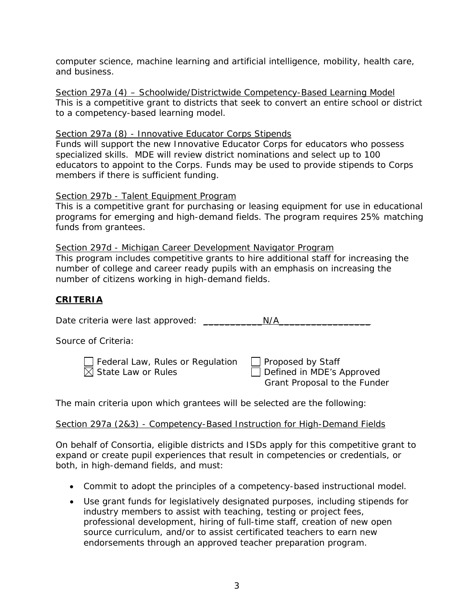computer science, machine learning and artificial intelligence, mobility, health care, and business.

Section 297a (4) – Schoolwide/Districtwide Competency-Based Learning Model This is a competitive grant to districts that seek to convert an entire school or district to a competency-based learning model.

### Section 297a (8) - Innovative Educator Corps Stipends

Funds will support the new Innovative Educator Corps for educators who possess specialized skills. MDE will review district nominations and select up to 100 educators to appoint to the Corps. Funds may be used to provide stipends to Corps members if there is sufficient funding.

### Section 297b - Talent Equipment Program

This is a competitive grant for purchasing or leasing equipment for use in educational programs for emerging and high-demand fields. The program requires 25% matching funds from grantees.

Section 297d - Michigan Career Development Navigator Program This program includes competitive grants to hire additional staff for increasing the number of college and career ready pupils with an emphasis on increasing the number of citizens working in high-demand fields.

# **CRITERIA**

| Date criteria were last approved:                                  | N/A                                                                                   |
|--------------------------------------------------------------------|---------------------------------------------------------------------------------------|
| Source of Criteria:                                                |                                                                                       |
| Sederal Law, Rules or Regulation<br>$\boxtimes$ State Law or Rules | $\Box$ Proposed by Staff<br>Defined in MDE's Approved<br>Grant Proposal to the Funder |

The main criteria upon which grantees will be selected are the following:

### Section 297a (2&3) - Competency-Based Instruction for High-Demand Fields

On behalf of Consortia, eligible districts and ISDs apply for this competitive grant to expand or create pupil experiences that result in competencies or credentials, or both, in high-demand fields, and must:

- Commit to adopt the principles of a competency-based instructional model.
- Use grant funds for legislatively designated purposes, including stipends for industry members to assist with teaching, testing or project fees, professional development, hiring of full-time staff, creation of new open source curriculum, and/or to assist certificated teachers to earn new endorsements through an approved teacher preparation program.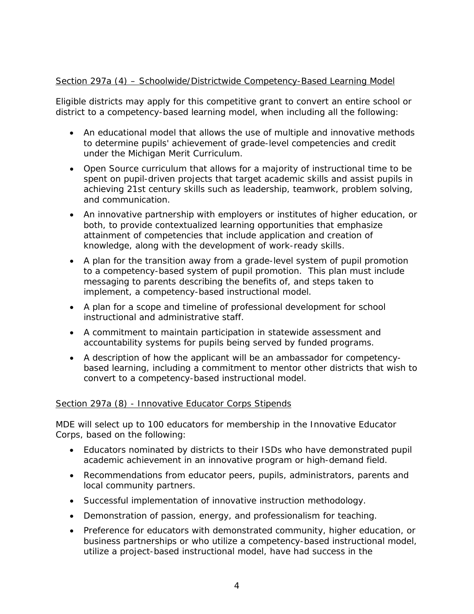# Section 297a (4) – Schoolwide/Districtwide Competency-Based Learning Model

Eligible districts may apply for this competitive grant to convert an entire school or district to a competency-based learning model, when including all the following:

- An educational model that allows the use of multiple and innovative methods to determine pupils' achievement of grade-level competencies and credit under the Michigan Merit Curriculum.
- Open Source curriculum that allows for a majority of instructional time to be spent on pupil-driven projects that target academic skills and assist pupils in achieving 21st century skills such as leadership, teamwork, problem solving, and communication.
- An innovative partnership with employers or institutes of higher education, or both, to provide contextualized learning opportunities that emphasize attainment of competencies that include application and creation of knowledge, along with the development of work-ready skills.
- A plan for the transition away from a grade-level system of pupil promotion to a competency-based system of pupil promotion. This plan must include messaging to parents describing the benefits of, and steps taken to implement, a competency-based instructional model.
- A plan for a scope and timeline of professional development for school instructional and administrative staff.
- A commitment to maintain participation in statewide assessment and accountability systems for pupils being served by funded programs.
- A description of how the applicant will be an ambassador for competencybased learning, including a commitment to mentor other districts that wish to convert to a competency-based instructional model.

# Section 297a (8) - Innovative Educator Corps Stipends

MDE will select up to 100 educators for membership in the Innovative Educator Corps, based on the following:

- Educators nominated by districts to their ISDs who have demonstrated pupil academic achievement in an innovative program or high-demand field.
- Recommendations from educator peers, pupils, administrators, parents and local community partners.
- Successful implementation of innovative instruction methodology.
- Demonstration of passion, energy, and professionalism for teaching.
- Preference for educators with demonstrated community, higher education, or business partnerships or who utilize a competency-based instructional model, utilize a project-based instructional model, have had success in the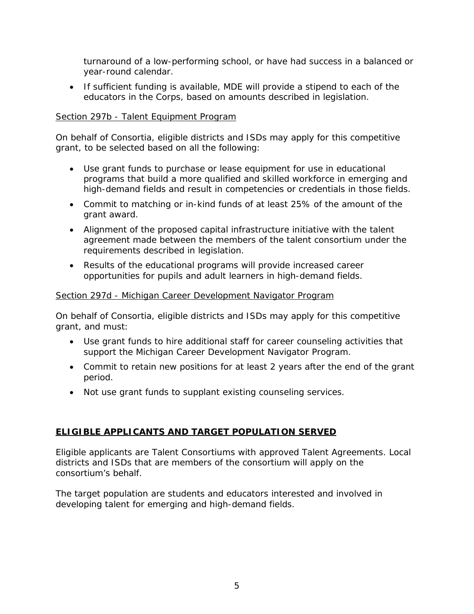turnaround of a low-performing school, or have had success in a balanced or year-round calendar.

• If sufficient funding is available, MDE will provide a stipend to each of the educators in the Corps, based on amounts described in legislation.

## Section 297b - Talent Equipment Program

On behalf of Consortia, eligible districts and ISDs may apply for this competitive grant, to be selected based on all the following:

- Use grant funds to purchase or lease equipment for use in educational programs that build a more qualified and skilled workforce in emerging and high-demand fields and result in competencies or credentials in those fields.
- Commit to matching or in-kind funds of at least 25% of the amount of the grant award.
- Alignment of the proposed capital infrastructure initiative with the talent agreement made between the members of the talent consortium under the requirements described in legislation.
- Results of the educational programs will provide increased career opportunities for pupils and adult learners in high-demand fields.

### Section 297d - Michigan Career Development Navigator Program

On behalf of Consortia, eligible districts and ISDs may apply for this competitive grant, and must:

- Use grant funds to hire additional staff for career counseling activities that support the Michigan Career Development Navigator Program.
- Commit to retain new positions for at least 2 years after the end of the grant period.
- Not use grant funds to supplant existing counseling services.

# **ELIGIBLE APPLICANTS AND TARGET POPULATION SERVED**

Eligible applicants are Talent Consortiums with approved Talent Agreements. Local districts and ISDs that are members of the consortium will apply on the consortium's behalf.

The target population are students and educators interested and involved in developing talent for emerging and high-demand fields.